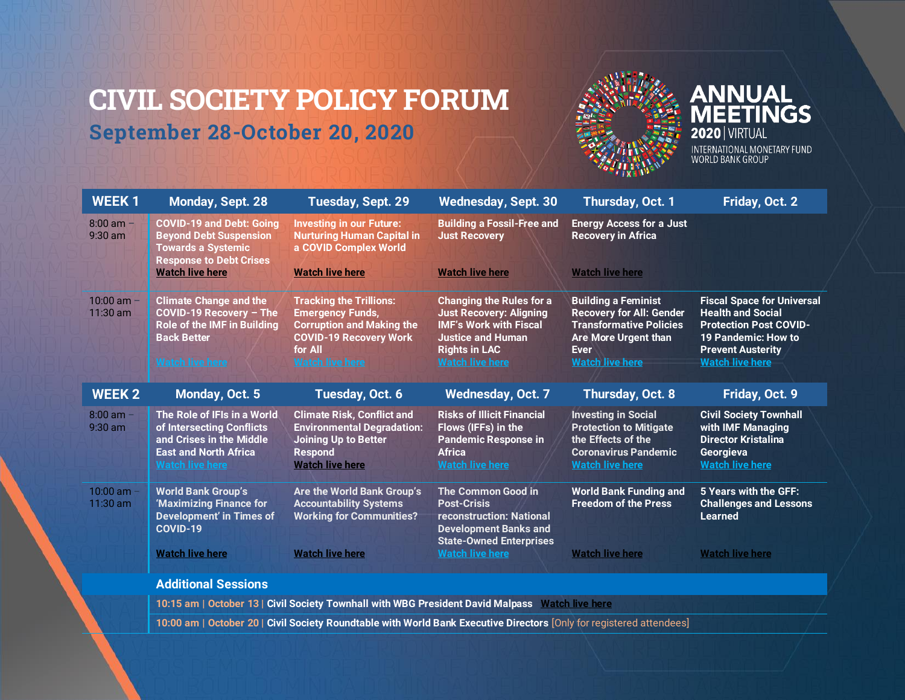# <span id="page-0-0"></span>**CIVIL SOCIETY POLICY FORUM September 28-October 20, 2020**



**ANNUAL<br>MEETINGS 2020** VIRTUAL INTERNATIONAL MONETARY FUND<br>WORLD BANK GROUP

| <b>WEEK1</b>               | Monday, Sept. 28                                                                                                                        | Tuesday, Sept. 29                                                                                                                                                   | <b>Wednesday, Sept. 30</b>                                                                                                                                                       | Thursday, Oct. 1                                                                                                                                                 | Friday, Oct. 2                                                                                                                                                              |
|----------------------------|-----------------------------------------------------------------------------------------------------------------------------------------|---------------------------------------------------------------------------------------------------------------------------------------------------------------------|----------------------------------------------------------------------------------------------------------------------------------------------------------------------------------|------------------------------------------------------------------------------------------------------------------------------------------------------------------|-----------------------------------------------------------------------------------------------------------------------------------------------------------------------------|
| $8:00$ am $-$<br>$9:30$ am | <b>COVID-19 and Debt: Going</b><br><b>Beyond Debt Suspension</b><br><b>Towards a Systemic</b><br><b>Response to Debt Crises</b>         | <b>Investing in our Future:</b><br><b>Nurturing Human Capital in</b><br>a COVID Complex World                                                                       | <b>Building a Fossil-Free and</b><br><b>Just Recovery</b>                                                                                                                        | <b>Energy Access for a Just</b><br><b>Recovery in Africa</b>                                                                                                     |                                                                                                                                                                             |
|                            | <b>Watch live here</b>                                                                                                                  | <b>Watch live here</b>                                                                                                                                              | <b>Watch live here</b>                                                                                                                                                           | <b>Watch live here</b>                                                                                                                                           |                                                                                                                                                                             |
| $10:00$ am $-$<br>11:30 am | <b>Climate Change and the</b><br>COVID-19 Recovery - The<br>Role of the IMF in Building<br><b>Back Better</b><br><b>Watch live here</b> | <b>Tracking the Trillions:</b><br><b>Emergency Funds,</b><br><b>Corruption and Making the</b><br><b>COVID-19 Recovery Work</b><br>for All<br><b>Watch live here</b> | <b>Changing the Rules for a</b><br><b>Just Recovery: Aligning</b><br><b>IMF's Work with Fiscal</b><br><b>Justice and Human</b><br><b>Rights in LAC</b><br><b>Watch live here</b> | <b>Building a Feminist</b><br><b>Recovery for All: Gender</b><br><b>Transformative Policies</b><br>Are More Urgent than<br><b>Ever</b><br><b>Watch live here</b> | <b>Fiscal Space for Universal</b><br><b>Health and Social</b><br><b>Protection Post COVID-</b><br>19 Pandemic: How to<br><b>Prevent Austerity</b><br><b>Watch live here</b> |
| <b>WEEK 2</b>              | Monday, Oct. 5                                                                                                                          | Tuesday, Oct. 6                                                                                                                                                     | <b>Wednesday, Oct. 7</b>                                                                                                                                                         | Thursday, Oct. 8                                                                                                                                                 | Friday, Oct. 9                                                                                                                                                              |
| $8:00$ am $-$<br>$9:30$ am | The Role of IFIs in a World<br>of Intersecting Conflicts<br>and Crises in the Middle<br><b>East and North Africa</b><br>Watch live here | <b>Climate Risk, Conflict and</b><br><b>Environmental Degradation:</b><br><b>Joining Up to Better</b><br>Respond<br><b>Watch live here</b>                          | <b>Risks of Illicit Financial</b><br>Flows (IFFs) in the<br><b>Pandemic Response in</b><br><b>Africa</b><br><b>Watch live here</b>                                               | <b>Investing in Social</b><br><b>Protection to Mitigate</b><br>the Effects of the<br><b>Coronavirus Pandemic</b><br><b>Watch live here</b>                       | <b>Civil Society Townhall</b><br>with IMF Managing<br><b>Director Kristalina</b><br>Georgieva<br><b>Watch live here</b>                                                     |
| $10:00$ am -<br>11:30 am   | <b>World Bank Group's</b><br>'Maximizing Finance for<br><b>Development' in Times of</b><br>COVID-19                                     | Are the World Bank Group's<br><b>Accountability Systems</b><br><b>Working for Communities?</b>                                                                      | <b>The Common Good in</b><br><b>Post-Crisis</b><br>reconstruction: National<br><b>Development Banks and</b><br><b>State-Owned Enterprises</b>                                    | <b>World Bank Funding and</b><br><b>Freedom of the Press</b>                                                                                                     | 5 Years with the GFF:<br><b>Challenges and Lessons</b><br><b>Learned</b>                                                                                                    |
|                            | <b>Watch live here</b>                                                                                                                  | <b>Watch live here</b>                                                                                                                                              | <b>Watch live here</b>                                                                                                                                                           | <b>Watch live here</b>                                                                                                                                           | <b>Watch live here</b>                                                                                                                                                      |
|                            | <b>Additional Sessions</b>                                                                                                              |                                                                                                                                                                     |                                                                                                                                                                                  |                                                                                                                                                                  |                                                                                                                                                                             |
|                            | 10:15 am   October 13   Civil Society Townhall with WBG President David Malpass Watch live here                                         |                                                                                                                                                                     |                                                                                                                                                                                  |                                                                                                                                                                  |                                                                                                                                                                             |

**10:00 am | October 20 | Civil Society Roundtable with World Bank Executive Directors** [Only for registered attendees]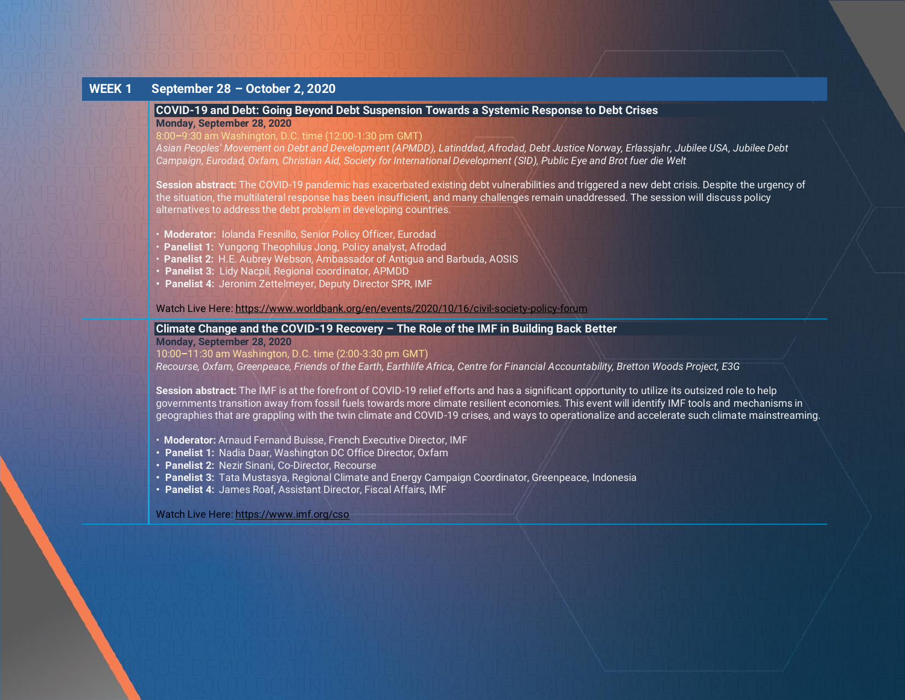# **WEEK 1 September 28 – October 2, 2020**

# <span id="page-1-0"></span>**COVID-19 and Debt: Going Beyond Debt Suspension Towards a Systemic Response to Debt Crises**

**Monday, September 28, 2020**

#### 8:00**–**9:30 am Washington, D.C. time (12:00-1:30 pm GMT)

*Asian Peoples' Movement on Debt and Development (APMDD), Latinddad, Afrodad, Debt Justice Norway, Erlassjahr, Jubilee USA, Jubilee Debt Campaign, Eurodad, Oxfam, Christian Aid, Society for International Development (SID), Public Eye and Brot fuer die Welt*

**Session abstract:** The COVID-19 pandemic has exacerbated existing debt vulnerabilities and triggered a new debt crisis. Despite the urgency of the situation, the multilateral response has been insufficient, and many challenges remain unaddressed. The session will discuss policy alternatives to address the debt problem in developing countries.

- **Moderator:** Iolanda Fresnillo, Senior Policy Officer, Eurodad
- **Panelist 1: Yungong Theophilus Jong, Policy analyst, Afrodad**
- **Panelist 2:** H.E. Aubrey Webson, Ambassador of Antigua and Barbuda, AOSIS
- **• Panelist 3:** Lidy Nacpil, Regional coordinator, APMDD
- **• Panelist 4:** Jeronim Zettelmeyer, Deputy Director SPR, IMF

Watch Live Here[: https://www.worldbank.org/en/events/2020/10/16/civil-society-policy-forum](https://www.worldbank.org/en/events/2020/10/16/civil-society-policy-forum)

# <span id="page-1-1"></span>**Climate Change and the COVID-19 Recovery – The Role of the IMF in Building Back Better**

#### **Monday, September 28, 2020**

#### 10:00**–**11:30 am Washington, D.C. time (2:00-3:30 pm GMT)

*Recourse, Oxfam, Greenpeace, Friends of the Earth, Earthlife Africa, Centre for Financial Accountability, Bretton Woods Project, E3G*

**Session abstract:** The IMF is at the forefront of COVID-19 relief efforts and has a significant opportunity to utilize its outsized role to help governments transition away from fossil fuels towards more climate resilient economies. This event will identify IMF tools and mechanisms in geographies that are grappling with the twin climate and COVID-19 crises, and ways to operationalize and accelerate such climate mainstreaming.

- **Moderator:** Arnaud Fernand Buisse, French Executive Director, IMF
- **• Panelist 1:** Nadia Daar, Washington DC Office Director, Oxfam
- **• Panelist 2:** Nezir Sinani, Co-Director, Recourse
- **• Panelist 3:** Tata Mustasya, Regional Climate and Energy Campaign Coordinator, Greenpeace, Indonesia
- **• Panelist 4:** James Roaf, Assistant Director, Fiscal Affairs, IMF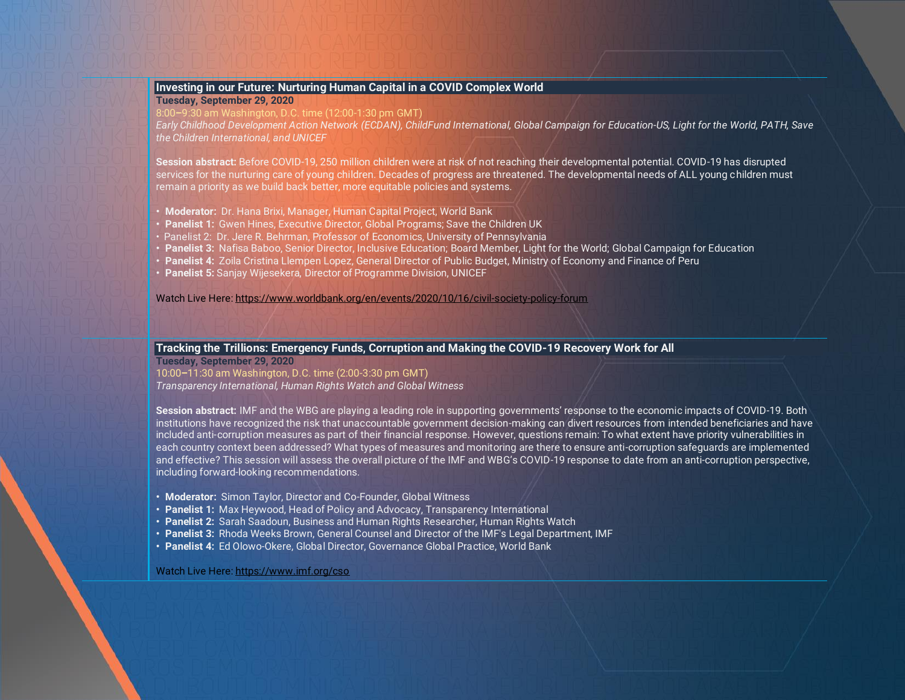# <span id="page-2-0"></span>**Investing in our Future: Nurturing Human Capital in a COVID Complex World**

**Tuesday, September 29, 2020**

8:00**–**9:30 am Washington, D.C. time (12:00-1:30 pm GMT)

*Early Childhood Development Action Network (ECDAN), ChildFund International, Global Campaign for Education-US, Light for the World, PATH, Save the Children International, and UNICEF*

**Session abstract:** Before COVID-19, 250 million children were at risk of not reaching their developmental potential. COVID-19 has disrupted services for the nurturing care of young children. Decades of progress are threatened. The developmental needs of ALL young children must remain a priority as we build back better, more equitable policies and systems.

- **• Moderator:** Dr. Hana Brixi, Manager, Human Capital Project, World Bank
- **• Panelist 1:** Gwen Hines, Executive Director, Global Programs; Save the Children UK
- Panelist 2: Dr. Jere R. Behrman, Professor of Economics, University of Pennsylvania
- **• Panelist 3:** Nafisa Baboo, Senior Director, Inclusive Education; Board Member, Light for the World; Global Campaign for Education
- **Panelist 4:** Zoila Cristina Llempen Lopez, General Director of Public Budget, Ministry of Economy and Finance of Peru
- **Panelist 5:** Sanjay Wijesekera, Director of Programme Division, UNICEF

Watch Live Here[: https://www.worldbank.org/en/events/2020/10/16/civil-society-policy-forum](https://www.worldbank.org/en/events/2020/10/16/civil-society-policy-forum)

### **Tracking the Trillions: Emergency Funds, Corruption and Making the COVID-19 Recovery Work for All**

**Tuesday, September 29, 2020** 10:00**–**11:30 am Washington, D.C. time (2:00-3:30 pm GMT) *Transparency International, Human Rights Watch and Global Witness*

**Session abstract:** IMF and the WBG are playing a leading role in supporting governments' response to the economic impacts of COVID-19. Both institutions have recognized the risk that unaccountable government decision-making can divert resources from intended beneficiaries and have included anti-corruption measures as part of their financial response. However, questions remain: To what extent have priority vulnerabilities in each country context been addressed? What types of measures and monitoring are there to ensure anti-corruption safeguards are implemented and effective? This session will assess the overall picture of the IMF and WBG's COVID-19 response to date from an anti-corruption perspective, including forward-looking recommendations.

- **• Moderator:** Simon Taylor, Director and Co-Founder, Global Witness
- **• Panelist 1:** Max Heywood, Head of Policy and Advocacy, Transparency International
- **• Panelist 2:** Sarah Saadoun, Business and Human Rights Researcher, Human Rights Watch
- **• Panelist 3:** Rhoda Weeks Brown, General Counsel and Director of the IMF's Legal Department, IMF
- **• Panelist 4:** Ed Olowo-Okere, Global Director, Governance Global Practice, World Bank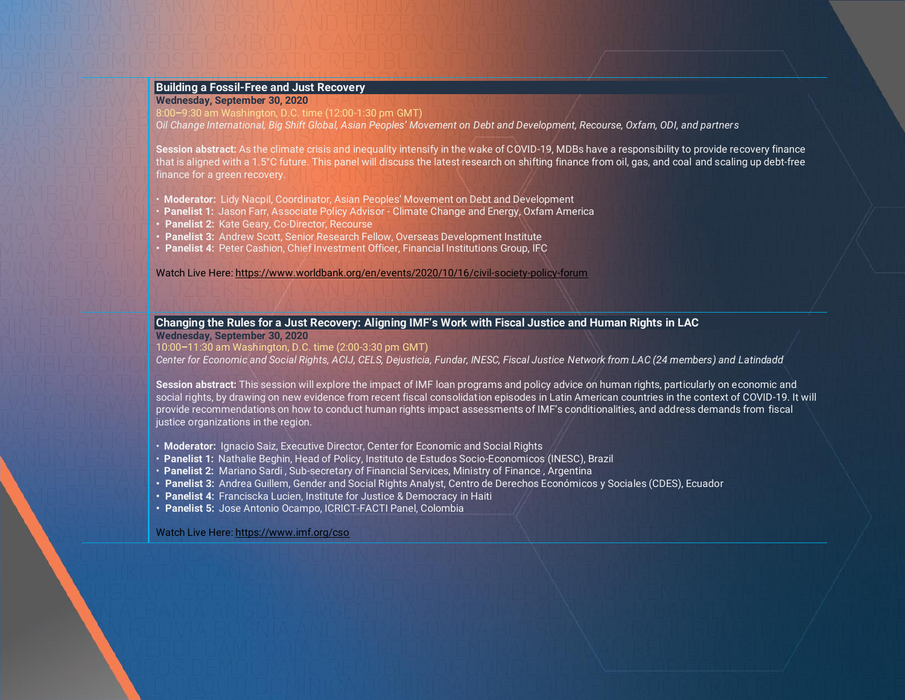# **Building a Fossil-Free and Just Recovery**

**Wednesday, September 30, 2020**

8:00**–**9:30 am Washington, D.C. time (12:00-1:30 pm GMT)

O*il Change International, Big Shift Global, Asian Peoples' Movement on Debt and Development, Recourse, Oxfam, ODI, and partners*

**Session abstract:** As the climate crisis and inequality intensify in the wake of COVID-19, MDBs have a responsibility to provide recovery finance that is aligned with a 1.5°C future. This panel will discuss the latest research on shifting finance from oil, gas, and coal and scaling up debt-free finance for a green recovery.

- **Moderator:** Lidy Nacpil, Coordinator, Asian Peoples' Movement on Debt and Development
- **Panelist 1:** Jason Farr, Associate Policy Advisor Climate Change and Energy, Oxfam America
- **• Panelist 2:** Kate Geary, Co-Director, Recourse
- **• Panelist 3:** Andrew Scott, Senior Research Fellow, Overseas Development Institute
- **• Panelist 4:** Peter Cashion, Chief Investment Officer, Financial Institutions Group, IFC

Watch Live Here[: https://www.worldbank.org/en/events/2020/10/16/civil-society-policy-forum](https://www.worldbank.org/en/events/2020/10/16/civil-society-policy-forum)

## <span id="page-3-0"></span>**Changing the Rules for a Just Recovery: Aligning IMF's Work with Fiscal Justice and Human Rights in LAC**

**Wednesday, September 30, 2020**

10:00**–**11:30 am Washington, D.C. time (2:00-3:30 pm GMT)

*Center for Economic and Social Rights, ACIJ, CELS, Dejusticia, Fundar, INESC, Fiscal Justice Network from LAC (24 members) and Latindadd*

**Session abstract:** This session will explore the impact of IMF loan programs and policy advice on human rights, particularly on economic and social rights, by drawing on new evidence from recent fiscal consolidation episodes in Latin American countries in the context of COVID-19. It will provide recommendations on how to conduct human rights impact assessments of IMF's conditionalities, and address demands from fiscal justice organizations in the region.

- **Moderator:** Ignacio Saiz, Executive Director, Center for Economic and Social Rights
- **Panelist 1:** Nathalie Beghin, Head of Policy, Instituto de Estudos Socio-Economicos (INESC), Brazil
- **Panelist 2:** Mariano Sardi , Sub-secretary of Financial Services, Ministry of Finance , Argentina
- **• Panelist 3:** Andrea Guillem, Gender and Social Rights Analyst, Centro de Derechos Económicos y Sociales (CDES), Ecuador
- **Panelist 4:** Franciscka Lucien, Institute for Justice & Democracy in Haiti
- **Panelist 5:** Jose Antonio Ocampo, ICRICT-FACTI Panel, Colombia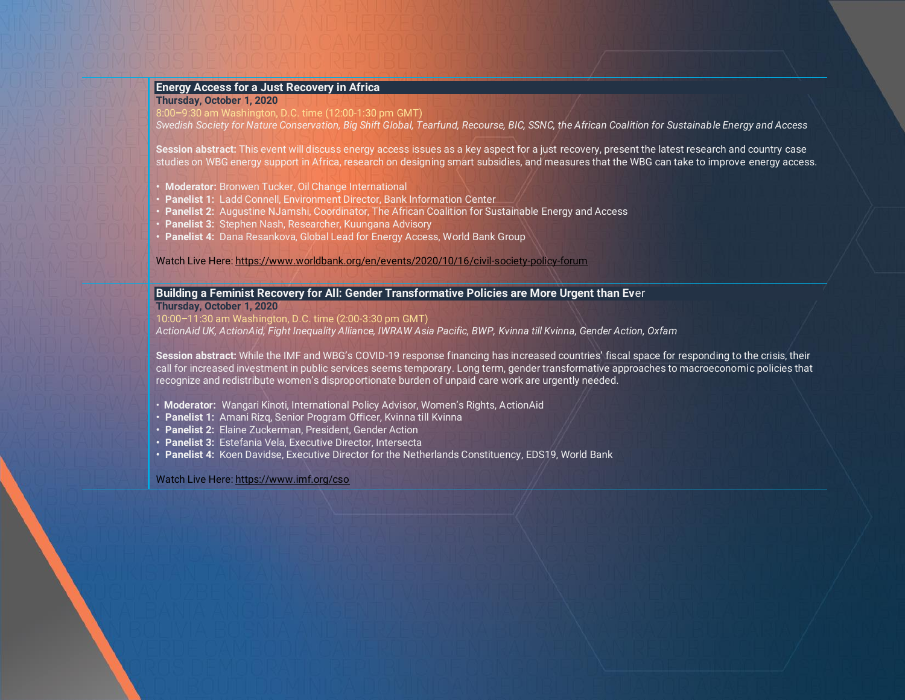# <span id="page-4-1"></span>**Energy Access for a Just Recovery in Africa**

## **Thursday, October 1, 2020**

8:00**–**9:30 am Washington, D.C. time (12:00-1:30 pm GMT)

*Swedish Society for Nature Conservation, Big Shift Global, Tearfund, Recourse, BIC, SSNC, the African Coalition for Sustainable Energy and Access*

**Session abstract:** This event will discuss energy access issues as a key aspect for a just recovery, present the latest research and country case studies on WBG energy support in Africa, research on designing smart subsidies, and measures that the WBG can take to improve energy access.

- **• Moderator:** Bronwen Tucker, Oil Change International
- **• Panelist 1:** Ladd Connell, Environment Director, Bank Information Center
- **• Panelist 2:** Augustine NJamshi, Coordinator, The African Coalition for Sustainable Energy and Access
- **• Panelist 3:** Stephen Nash, Researcher, Kuungana Advisory
- **• Panelist 4:** Dana Resankova, Global Lead for Energy Access, World Bank Group

Watch Live Here[: https://www.worldbank.org/en/events/2020/10/16/civil-society-policy-forum](https://www.worldbank.org/en/events/2020/10/16/civil-society-policy-forum)

# <span id="page-4-0"></span>**Building a Feminist Recovery for All: Gender Transformative Policies are More Urgent than Ev**er

**Thursday, October 1, 2020**

10:00**–**11:30 am Washington, D.C. time (2:00-3:30 pm GMT)

*ActionAid UK, ActionAid, Fight Inequality Alliance, IWRAW Asia Pacific, BWP, Kvinna till Kvinna, Gender Action, Oxfam*

**Session abstract:** While the IMF and WBG's COVID-19 response financing has increased countries' fiscal space for responding to the crisis, their call for increased investment in public services seems temporary. Long term, gender transformative approaches to macroeconomic policies that recognize and redistribute women's disproportionate burden of unpaid care work are urgently needed.

- **Moderator:** Wangari Kinoti, International Policy Advisor, Women's Rights, ActionAid
- **• Panelist 1:** Amani Rizq, Senior Program Officer, Kvinna till Kvinna
- **• Panelist 2:** Elaine Zuckerman, President, Gender Action
- **• Panelist 3:** Estefania Vela, Executive Director, Intersecta
- **• Panelist 4:** Koen Davidse, Executive Director for the Netherlands Constituency, EDS19, World Bank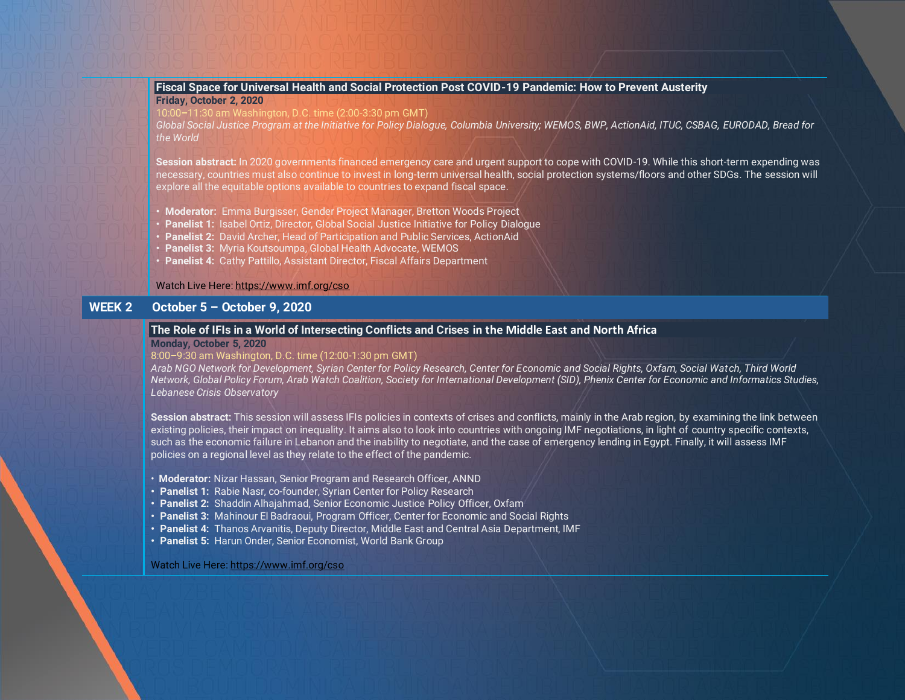## <span id="page-5-0"></span>**Fiscal Space for Universal Health and Social Protection Post COVID-19 Pandemic: How to Prevent Austerity Friday, October 2, 2020**

10:00**–**11:30 am Washington, D.C. time (2:00-3:30 pm GMT)

*Global Social Justice Program at the Initiative for Policy Dialogue, Columbia University; WEMOS, BWP, ActionAid, ITUC, CSBAG, EURODAD, Bread for the World*

**Session abstract:** In 2020 governments financed emergency care and urgent support to cope with COVID-19. While this short-term expending was necessary, countries must also continue to invest in long-term universal health, social protection systems/floors and other SDGs. The session will explore all the equitable options available to countries to expand fiscal space.

- **• Moderator:** Emma Burgisser, Gender Project Manager, Bretton Woods Project
- **• Panelist 1:** Isabel Ortiz, Director, Global Social Justice Initiative for Policy Dialogue
- **• Panelist 2:** David Archer, Head of Participation and Public Services, ActionAid
- **• Panelist 3:** Myria Koutsoumpa, Global Health Advocate, WEMOS
- **• Panelist 4:** Cathy Pattillo, Assistant Director, Fiscal Affairs Department

#### Watch Live Here[: https://www.imf.org/cso](https://www.imf.org/cso)

# **WEEK 2 October 5 – October 9, 2020**

#### <span id="page-5-1"></span>**The Role of IFIs in a World of Intersecting Conflicts and Crises in the Middle East and North Africa**

#### **Monday, October 5, 2020**

#### 8:00**–**9:30 am Washington, D.C. time (12:00-1:30 pm GMT)

*Arab NGO Network for Development, Syrian Center for Policy Research, Center for Economic and Social Rights, Oxfam, Social Watch, Third World Network, Global Policy Forum, Arab Watch Coalition, Society for International Development (SID), Phenix Center for Economic and Informatics Studies, Lebanese Crisis Observatory*

**Session abstract:** This session will assess IFIs policies in contexts of crises and conflicts, mainly in the Arab region, by examining the link between existing policies, their impact on inequality. It aims also to look into countries with ongoing IMF negotiations, in light of country specific contexts, such as the economic failure in Lebanon and the inability to negotiate, and the case of emergency lending in Egypt. Finally, it will assess IMF policies on a regional level as they relate to the effect of the pandemic.

- **Moderator:** Nizar Hassan, Senior Program and Research Officer, ANND
- **• Panelist 1:** Rabie Nasr, co-founder, Syrian Center for Policy Research
- **• Panelist 2:** Shaddin Alhajahmad, Senior Economic Justice Policy Officer, Oxfam
- **• Panelist 3:** Mahinour El Badraoui, Program Officer, Center for Economic and Social Rights
- **• Panelist 4:** Thanos Arvanitis, Deputy Director, Middle East and Central Asia Department, IMF
- **Panelist 5:** Harun Onder, Senior Economist, World Bank Group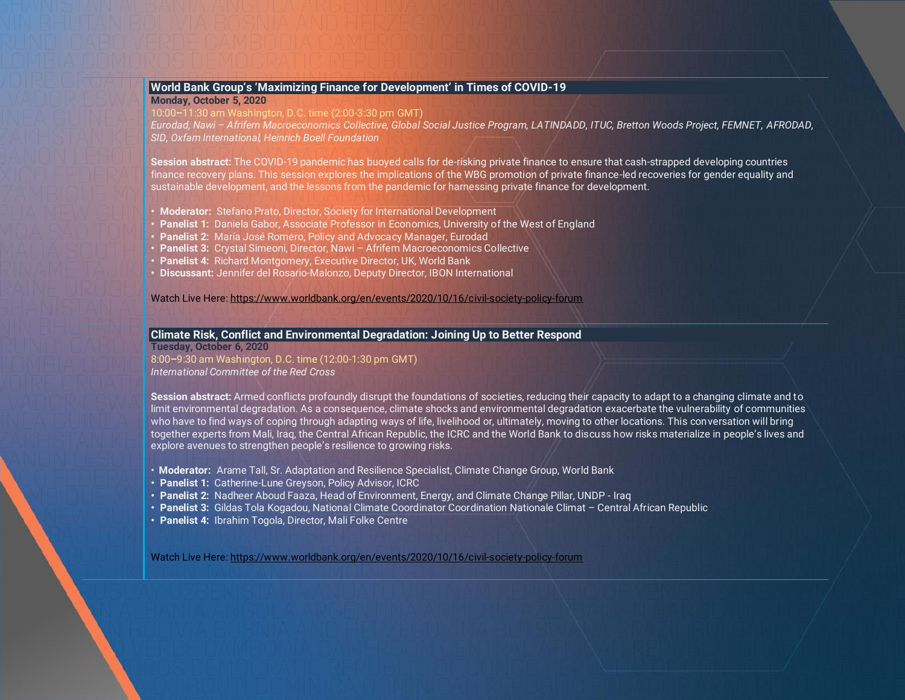## <span id="page-6-1"></span>**World Bank Group's 'Maximizing Finance for Development' in Times of COVID-19 Monday, October 5, 2020**

10:00**–**11:30 am Washington, D.C. time (2:00-3:30 pm GMT)

*Eurodad, Nawi – Afrifem Macroeconomics Collective, Global Social Justice Program, LATINDADD, ITUC, Bretton Woods Project, FEMNET, AFRODAD, SID, Oxfam International, Heinrich Boell Foundation*

**Session abstract:** The COVID-19 pandemic has buoyed calls for de-risking private finance to ensure that cash-strapped developing countries finance recovery plans. This session explores the implications of the WBG promotion of private finance-led recoveries for gender equality and sustainable development, and the lessons from the pandemic for harnessing private finance for development.

- **• Moderator:** Stefano Prato, Director, Society for International Development
- **• Panelist 1:** Daniela Gabor, Associate Professor in Economics, University of the West of England
- **• Panelist 2:** María José Romero, Policy and Advocacy Manager, Eurodad
- **• Panelist 3:** Crystal Simeoni, Director, Nawi Afrifem Macroeconomics Collective
- **• Panelist 4:** Richard Montgomery, Executive Director, UK, World Bank
- **• Discussant:** Jennifer del Rosario-Malonzo, Deputy Director, IBON International

Watch Live Here[: https://www.worldbank.org/en/events/2020/10/16/civil-society-policy-forum](https://www.worldbank.org/en/events/2020/10/16/civil-society-policy-forum)

# <span id="page-6-0"></span>**Climate Risk, Conflict and Environmental Degradation: Joining Up to Better Respond**

**Tuesday, October 6, 2020** 8:00**–**9:30 am Washington, D.C. time (12:00-1:30 pm GMT) *International Committee of the Red Cross*

**Session abstract:** Armed conflicts profoundly disrupt the foundations of societies, reducing their capacity to adapt to a changing climate and to limit environmental degradation. As a consequence, climate shocks and environmental degradation exacerbate the vulnerability of communities who have to find ways of coping through adapting ways of life, livelihood or, ultimately, moving to other locations. This conversation will bring together experts from Mali, Iraq, the Central African Republic, the ICRC and the World Bank to discuss how risks materialize in people's lives and explore avenues to strengthen people's resilience to growing risks.

- **Moderator:** Arame Tall, Sr. Adaptation and Resilience Specialist, Climate Change Group, World Bank
- **• Panelist 1:** Catherine-Lune Greyson, Policy Advisor, ICRC
- **• Panelist 2:** Nadheer Aboud Faaza, Head of Environment, Energy, and Climate Change Pillar, UNDP Iraq
- **• Panelist 3:** Gildas Tola Kogadou, National Climate Coordinator Coordination Nationale Climat Central African Republic
- **• Panelist 4:** Ibrahim Togola, Director, Mali Folke Centre

Watch Live Here[: https://www.worldbank.org/en/events/2020/10/16/civil-society-policy-forum](https://www.worldbank.org/en/events/2020/10/16/civil-society-policy-forum)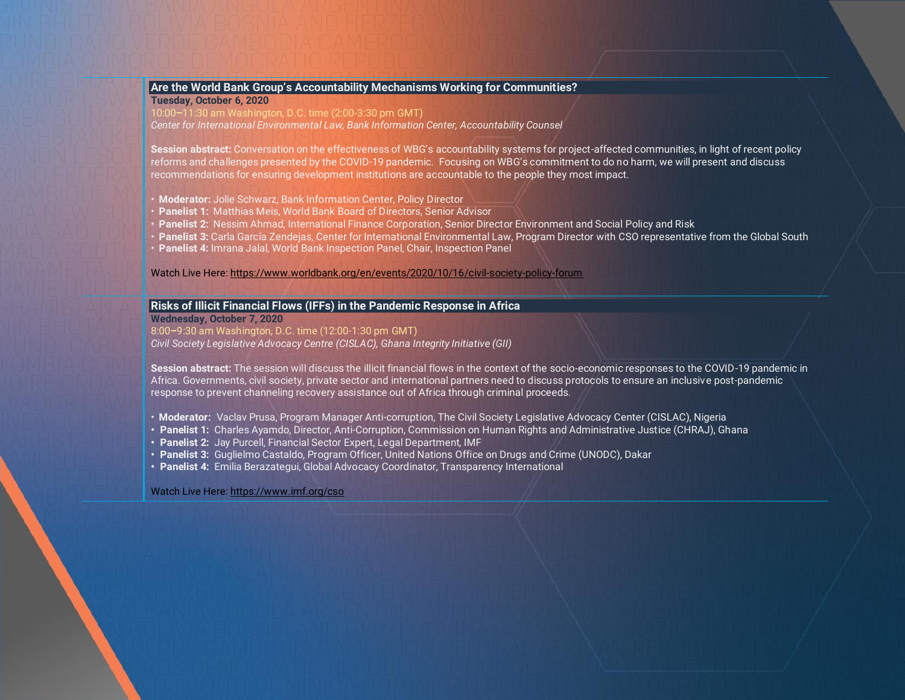#### <span id="page-7-1"></span>**[Are the World Bank Group's Accountability Mechanisms Working for Communities?](#page-7-1) Tuesday, October 6, 2020**

10:00**–**11:30 am Washington, D.C. time (2:00-3:30 pm GMT)

*Center for International Environmental Law, Bank Information Center, Accountability Counsel*

**Session abstract:** Conversation on the effectiveness of WBG's accountability systems for project-affected communities, in light of recent policy reforms and challenges presented by the COVID-19 pandemic. Focusing on WBG's commitment to do no harm, we will present and discuss recommendations for ensuring development institutions are accountable to the people they most impact.

- **Moderator:** Jolie Schwarz, Bank Information Center, Policy Director
- **Panelist 1:** Matthias Meis, World Bank Board of Directors, Senior Advisor
- **Panelist 2:** Nessim Ahmad, International Finance Corporation, Senior Director Environment and Social Policy and Risk
- **Panelist 3:** Carla García Zendejas, Center for International Environmental Law, Program Director with CSO representative from the Global South
- **Panelist 4:** Imrana Jalal, World Bank Inspection Panel, Chair, Inspection Panel

Watch Live Here[: https://www.worldbank.org/en/events/2020/10/16/civil-society-policy-forum](https://www.worldbank.org/en/events/2020/10/16/civil-society-policy-forum)

# <span id="page-7-0"></span>**Risks of Illicit Financial Flows (IFFs) in the Pandemic Response in Africa**

**Wednesday, October 7, 2020**

8:00**–**9:30 am Washington, D.C. time (12:00-1:30 pm GMT)

*Civil Society Legislative Advocacy Centre (CISLAC), Ghana Integrity Initiative (GII)*

**Session abstract:** The session will discuss the illicit financial flows in the context of the socio-economic responses to the COVID-19 pandemic in Africa. Governments, civil society, private sector and international partners need to discuss protocols to ensure an inclusive post-pandemic response to prevent channeling recovery assistance out of Africa through criminal proceeds.

- **Moderator:** Vaclav Prusa, Program Manager Anti-corruption, The Civil Society Legislative Advocacy Center (CISLAC), Nigeria
- **• Panelist 1:** Charles Ayamdo, Director, Anti-Corruption, Commission on Human Rights and Administrative Justice (CHRAJ), Ghana
- **• Panelist 2:** Jay Purcell, Financial Sector Expert, Legal Department, IMF
- **• Panelist 3:** Guglielmo Castaldo, Program Officer, United Nations Office on Drugs and Crime (UNODC), Dakar
- **• Panelist 4:** Emilia Berazategui, Global Advocacy Coordinator, Transparency International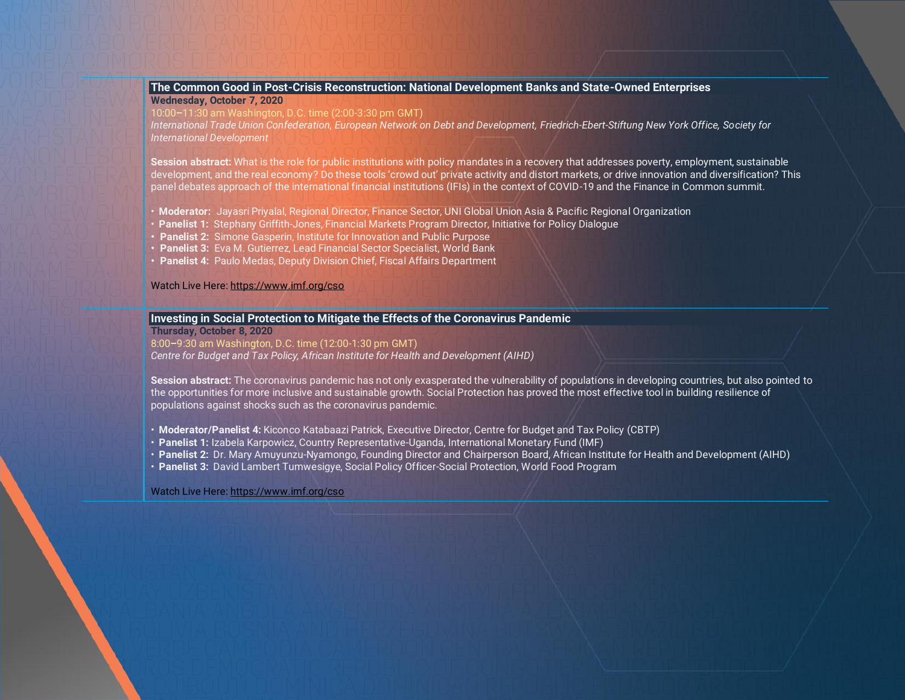#### <span id="page-8-0"></span>**The Common Good in Post-Crisis Reconstruction: National Development Banks and State-Owned Enterprises Wednesday, October 7, 2020**

10:00**–**11:30 am Washington, D.C. time (2:00-3:30 pm GMT)

*International Trade Union Confederation, European Network on Debt and Development, Friedrich-Ebert-Stiftung New York Office, Society for International Development*

**Session abstract:** What is the role for public institutions with policy mandates in a recovery that addresses poverty, employment, sustainable development, and the real economy? Do these tools 'crowd out' private activity and distort markets, or drive innovation and diversification? This panel debates approach of the international financial institutions (IFIs) in the context of COVID-19 and the Finance in Common summit.

- **Moderator:** Jayasri Priyalal, Regional Director, Finance Sector, UNI Global Union Asia & Pacific Regional Organization
- **Panelist 1:** Stephany Griffith-Jones, Financial Markets Program Director, Initiative for Policy Dialogue
- **Panelist 2:** Simone Gasperin, Institute for Innovation and Public Purpose
- **Panelist 3:** Eva M. Gutierrez, Lead Financial Sector Specialist, World Bank
- **Panelist 4:** Paulo Medas, Deputy Division Chief, Fiscal Affairs Department

Watch Live Here[: https://www.imf.org/cso](https://www.imf.org/cso)

#### **Investing in Social Protection to Mitigate the Effects of the Coronavirus Pandemic**

**Thursday, October 8, 2020**

8:00**–**9:30 am Washington, D.C. time (12:00-1:30 pm GMT) *Centre for Budget and Tax Policy, African Institute for Health and Development (AIHD)*

**Session abstract:** The coronavirus pandemic has not only exasperated the vulnerability of populations in developing countries, but also pointed to the opportunities for more inclusive and sustainable growth. Social Protection has proved the most effective tool in building resilience of populations against shocks such as the coronavirus pandemic.

- **Moderator/Panelist 4:** Kiconco Katabaazi Patrick, Executive Director, Centre for Budget and Tax Policy (CBTP)
- **Panelist 1:** Izabela Karpowicz, Country Representative-Uganda, International Monetary Fund (IMF)
- **Panelist 2:** Dr. Mary Amuyunzu-Nyamongo, Founding Director and Chairperson Board, African Institute for Health and Development (AIHD)
- **Panelist 3:** David Lambert Tumwesigye, Social Policy Officer-Social Protection, World Food Program